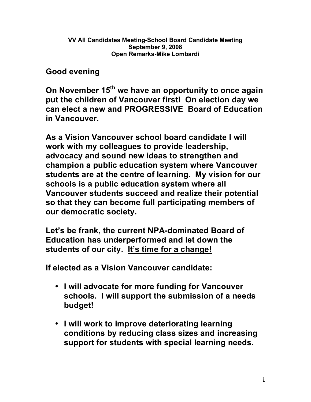**Good evening**

**On November 15th we have an opportunity to once again put the children of Vancouver first! On election day we can elect a new and PROGRESSIVE Board of Education in Vancouver.** 

**As a Vision Vancouver school board candidate I will work with my colleagues to provide leadership, advocacy and sound new ideas to strengthen and champion a public education system where Vancouver students are at the centre of learning. My vision for our schools is a public education system where all Vancouver students succeed and realize their potential so that they can become full participating members of our democratic society.**

**Let's be frank, the current NPA-dominated Board of Education has underperformed and let down the students of our city. It's time for a change!**

**If elected as a Vision Vancouver candidate:**

- **I will advocate for more funding for Vancouver schools. I will support the submission of a needs budget!**
- **I will work to improve deteriorating learning conditions by reducing class sizes and increasing support for students with special learning needs.**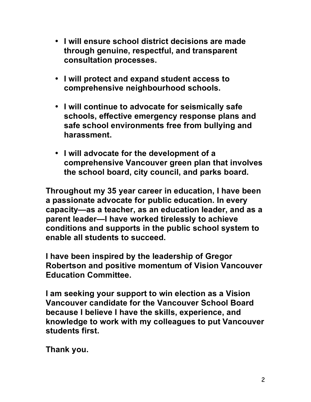- **I will ensure school district decisions are made through genuine, respectful, and transparent consultation processes.**
- **I will protect and expand student access to comprehensive neighbourhood schools.**
- **I will continue to advocate for seismically safe schools, effective emergency response plans and safe school environments free from bullying and harassment.**
- **I will advocate for the development of a comprehensive Vancouver green plan that involves the school board, city council, and parks board.**

**Throughout my 35 year career in education, I have been a passionate advocate for public education. In every capacity—as a teacher, as an education leader, and as a parent leader—I have worked tirelessly to achieve conditions and supports in the public school system to enable all students to succeed.** 

**I have been inspired by the leadership of Gregor Robertson and positive momentum of Vision Vancouver Education Committee.**

**I am seeking your support to win election as a Vision Vancouver candidate for the Vancouver School Board because I believe I have the skills, experience, and knowledge to work with my colleagues to put Vancouver students first.**

**Thank you.**